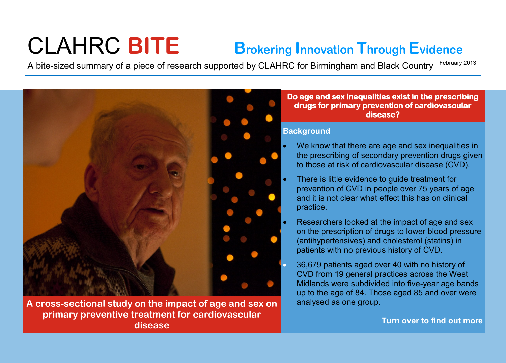# CLAHRC **BITE Brokering Innovation Through Evidence**

A bite-sized summary of a piece of research supported by CLAHRC for Birmingham and Black Country February 2013



**A cross-sectional study on the impact of age and sex on primary preventive treatment for cardiovascular disease**

#### **Do age and sex inequalities exist in the prescribing drugs for primary prevention of cardiovascular disease?**

### **Background**

- We know that there are age and sex inequalities in the prescribing of secondary prevention drugs given to those at risk of cardiovascular disease (CVD).
- There is little evidence to guide treatment for prevention of CVD in people over 75 years of age and it is not clear what effect this has on clinical practice.
- Researchers looked at the impact of age and sex on the prescription of drugs to lower blood pressure (antihypertensives) and cholesterol (statins) in patients with no previous history of CVD.
- 36,679 patients aged over 40 with no history of CVD from 19 general practices across the West Midlands were subdivided into five-year age bands up to the age of 84. Those aged 85 and over were analysed as one group.

**Turn over to find out more**